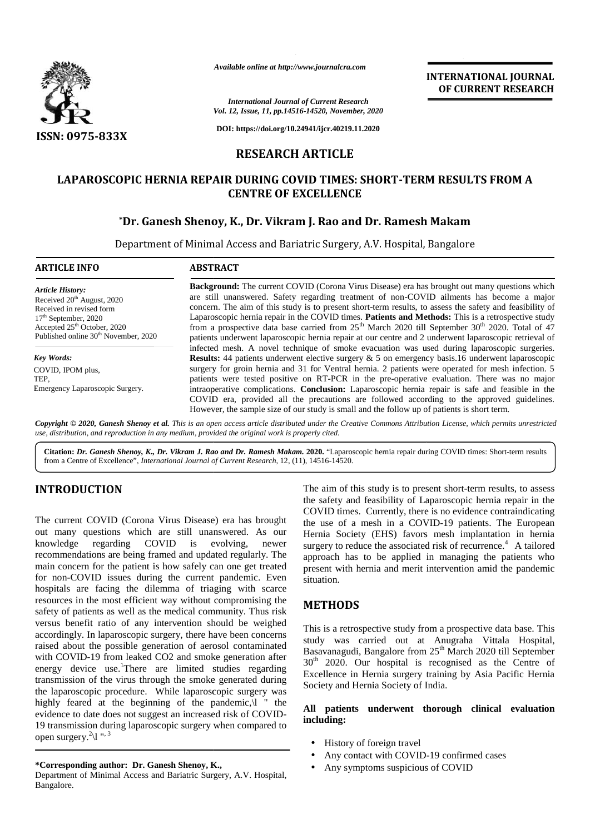

*Available online at http://www.journalcra.com*

# **RESEARCH ARTICLE**

# **LAPAROSCOPIC HERNIA REPAIR DURING COVID TIMES: SHORT-TERM RESULTS FROM A CENTRE OF EXCELLENCE**

# **\*Dr. Ganesh Shenoy, K., Dr. Vikram J. Rao and Dr. Ramesh Makam Dr. Vikram**

| <b>ISSN: 0975-833X</b>                                                                                                                                                                                                                                                                                                                                                                                                                                                                                                                                                                                                                                                                                                                                              | <b>International Journal of Current Research</b><br>Vol. 12, Issue, 11, pp.14516-14520, November, 2020<br>DOI: https://doi.org/10.24941/ijcr.40219.11.2020<br><b>RESEARCH ARTICLE</b><br>LAPAROSCOPIC HERNIA REPAIR DURING COVID TIMES: SHORT-TERM RESULTS FROM A                                                                                                                                                                                                                                                                                                                                                                                                                                                                                                                                                                                                                                                                                                                                                                                                                                                                                                                                                                                                                                                                                          |                                                                                                                                                                                                                                                                                                                                                                                                                                                                                                                                       |
|---------------------------------------------------------------------------------------------------------------------------------------------------------------------------------------------------------------------------------------------------------------------------------------------------------------------------------------------------------------------------------------------------------------------------------------------------------------------------------------------------------------------------------------------------------------------------------------------------------------------------------------------------------------------------------------------------------------------------------------------------------------------|------------------------------------------------------------------------------------------------------------------------------------------------------------------------------------------------------------------------------------------------------------------------------------------------------------------------------------------------------------------------------------------------------------------------------------------------------------------------------------------------------------------------------------------------------------------------------------------------------------------------------------------------------------------------------------------------------------------------------------------------------------------------------------------------------------------------------------------------------------------------------------------------------------------------------------------------------------------------------------------------------------------------------------------------------------------------------------------------------------------------------------------------------------------------------------------------------------------------------------------------------------------------------------------------------------------------------------------------------------|---------------------------------------------------------------------------------------------------------------------------------------------------------------------------------------------------------------------------------------------------------------------------------------------------------------------------------------------------------------------------------------------------------------------------------------------------------------------------------------------------------------------------------------|
|                                                                                                                                                                                                                                                                                                                                                                                                                                                                                                                                                                                                                                                                                                                                                                     |                                                                                                                                                                                                                                                                                                                                                                                                                                                                                                                                                                                                                                                                                                                                                                                                                                                                                                                                                                                                                                                                                                                                                                                                                                                                                                                                                            |                                                                                                                                                                                                                                                                                                                                                                                                                                                                                                                                       |
|                                                                                                                                                                                                                                                                                                                                                                                                                                                                                                                                                                                                                                                                                                                                                                     |                                                                                                                                                                                                                                                                                                                                                                                                                                                                                                                                                                                                                                                                                                                                                                                                                                                                                                                                                                                                                                                                                                                                                                                                                                                                                                                                                            |                                                                                                                                                                                                                                                                                                                                                                                                                                                                                                                                       |
|                                                                                                                                                                                                                                                                                                                                                                                                                                                                                                                                                                                                                                                                                                                                                                     |                                                                                                                                                                                                                                                                                                                                                                                                                                                                                                                                                                                                                                                                                                                                                                                                                                                                                                                                                                                                                                                                                                                                                                                                                                                                                                                                                            |                                                                                                                                                                                                                                                                                                                                                                                                                                                                                                                                       |
|                                                                                                                                                                                                                                                                                                                                                                                                                                                                                                                                                                                                                                                                                                                                                                     | <b>CENTRE OF EXCELLENCE</b>                                                                                                                                                                                                                                                                                                                                                                                                                                                                                                                                                                                                                                                                                                                                                                                                                                                                                                                                                                                                                                                                                                                                                                                                                                                                                                                                |                                                                                                                                                                                                                                                                                                                                                                                                                                                                                                                                       |
|                                                                                                                                                                                                                                                                                                                                                                                                                                                                                                                                                                                                                                                                                                                                                                     | *Dr. Ganesh Shenoy, K., Dr. Vikram J. Rao and Dr. Ramesh Makam<br>Department of Minimal Access and Bariatric Surgery, A.V. Hospital, Bangalore                                                                                                                                                                                                                                                                                                                                                                                                                                                                                                                                                                                                                                                                                                                                                                                                                                                                                                                                                                                                                                                                                                                                                                                                             |                                                                                                                                                                                                                                                                                                                                                                                                                                                                                                                                       |
| <b>ARTICLE INFO</b><br><b>ABSTRACT</b>                                                                                                                                                                                                                                                                                                                                                                                                                                                                                                                                                                                                                                                                                                                              |                                                                                                                                                                                                                                                                                                                                                                                                                                                                                                                                                                                                                                                                                                                                                                                                                                                                                                                                                                                                                                                                                                                                                                                                                                                                                                                                                            |                                                                                                                                                                                                                                                                                                                                                                                                                                                                                                                                       |
| <b>Article History:</b><br>Received 20 <sup>th</sup> August, 2020<br>Received in revised form<br>17 <sup>th</sup> September, 2020<br>Accepted 25 <sup>th</sup> October, 2020<br>Published online 30 <sup>th</sup> November, 2020                                                                                                                                                                                                                                                                                                                                                                                                                                                                                                                                    | Background: The current COVID (Corona Virus Disease) era has brought out many questions which<br>are still unanswered. Safety regarding treatment of non-COVID ailments has become a major<br>concern. The aim of this study is to present short-term results, to assess the safety and feasibility of<br>Laparoscopic hernia repair in the COVID times. Patients and Methods: This is a retrospective study<br>from a prospective data base carried from 25 <sup>th</sup> March 2020 till September 30 <sup>th</sup> 2020. Total of 47<br>patients underwent laparoscopic hernia repair at our centre and 2 underwent laparoscopic retrieval of<br>infected mesh. A novel technique of smoke evacuation was used during laparoscopic surgeries.<br>Results: 44 patients underwent elective surgery & 5 on emergency basis.16 underwent laparoscopic<br>surgery for groin hernia and 31 for Ventral hernia. 2 patients were operated for mesh infection. 5<br>patients were tested positive on RT-PCR in the pre-operative evaluation. There was no major<br>intraoperative complications. Conclusion: Laparoscopic hernia repair is safe and feasible in the<br>COVID era, provided all the precautions are followed according to the approved guidelines.<br>However, the sample size of our study is small and the follow up of patients is short term. |                                                                                                                                                                                                                                                                                                                                                                                                                                                                                                                                       |
| <b>Key Words:</b><br>COVID, IPOM plus,<br>TEP,<br>Emergency Laparoscopic Surgery.                                                                                                                                                                                                                                                                                                                                                                                                                                                                                                                                                                                                                                                                                   |                                                                                                                                                                                                                                                                                                                                                                                                                                                                                                                                                                                                                                                                                                                                                                                                                                                                                                                                                                                                                                                                                                                                                                                                                                                                                                                                                            |                                                                                                                                                                                                                                                                                                                                                                                                                                                                                                                                       |
| Copyright © 2020, Ganesh Shenoy et al. This is an open access article distributed under the Creative Commons Attribution License, which permits unrestricted<br>use, distribution, and reproduction in any medium, provided the original work is properly cited.                                                                                                                                                                                                                                                                                                                                                                                                                                                                                                    |                                                                                                                                                                                                                                                                                                                                                                                                                                                                                                                                                                                                                                                                                                                                                                                                                                                                                                                                                                                                                                                                                                                                                                                                                                                                                                                                                            |                                                                                                                                                                                                                                                                                                                                                                                                                                                                                                                                       |
| Citation: Dr. Ganesh Shenoy, K., Dr. Vikram J. Rao and Dr. Ramesh Makam. 2020. "Laparoscopic hernia repair during COVID times: Short-term results<br>from a Centre of Excellence", International Journal of Current Research, 12, (11), 14516-14520.                                                                                                                                                                                                                                                                                                                                                                                                                                                                                                                |                                                                                                                                                                                                                                                                                                                                                                                                                                                                                                                                                                                                                                                                                                                                                                                                                                                                                                                                                                                                                                                                                                                                                                                                                                                                                                                                                            |                                                                                                                                                                                                                                                                                                                                                                                                                                                                                                                                       |
| <b>INTRODUCTION</b><br>The current COVID (Corona Virus Disease) era has brought<br>out many questions which are still unanswered. As our<br>knowledge regarding COVID is evolving,<br>recommendations are being framed and updated regularly. The<br>main concern for the patient is how safely can one get treated<br>for non-COVID issues during the current pandemic. Even<br>hospitals are facing the dilemma of triaging with scarce<br>resources in the most efficient way without compromising the                                                                                                                                                                                                                                                           | newer<br>situation.                                                                                                                                                                                                                                                                                                                                                                                                                                                                                                                                                                                                                                                                                                                                                                                                                                                                                                                                                                                                                                                                                                                                                                                                                                                                                                                                        | The aim of this study is to present short-term results, to assess<br>the safety and feasibility of Laparoscopic hernia repair in the<br>COVID times. Currently, there is no evidence contraindicating<br>the use of a mesh in a COVID-19 patients. The European<br>Hernia Society (EHS) favors mesh implantation in hernia<br>surgery to reduce the associated risk of recurrence. <sup>4</sup> A tailored<br>approach has to be applied in managing the patients who<br>present with hernia and merit intervention amid the pandemic |
| safety of patients as well as the medical community. Thus risk<br>versus benefit ratio of any intervention should be weighed<br>accordingly. In laparoscopic surgery, there have been concerns<br>raised about the possible generation of aerosol contaminated<br>with COVID-19 from leaked CO2 and smoke generation after<br>energy device use. There are limited studies regarding<br>transmission of the virus through the smoke generated during<br>the laparoscopic procedure. While laparoscopic surgery was<br>highly feared at the beginning of the pandemic,\l " the<br>evidence to date does not suggest an increased risk of COVID-<br>19 transmission during laparoscopic surgery when compared to<br>open surgery. $^{2}\$ <sup>1</sup> " <sup>3</sup> | <b>METHODS</b><br>Society and Hernia Society of India.<br>including:<br>History of foreign travel                                                                                                                                                                                                                                                                                                                                                                                                                                                                                                                                                                                                                                                                                                                                                                                                                                                                                                                                                                                                                                                                                                                                                                                                                                                          | This is a retrospective study from a prospective data base. This<br>study was carried out at Anugraha Vittala Hospital,<br>Basavanagudi, Bangalore from 25 <sup>th</sup> March 2020 till September<br>$30th$ 2020. Our hospital is recognised as the Centre of<br>Excellence in Hernia surgery training by Asia Pacific Hernia<br>All patients underwent thorough clinical evaluation                                                                                                                                                 |

# **INTRODUCTION INTRODUCTION**

The current COVID (Corona Virus Disease) era has brought The current COVID (Corona Virus Disease) era has brought the out many questions which are still unanswered. As our knowledge regarding COVID is evolving, newer recommendations are being framed and updated regularly. The main concern for the patient is how safely can one get treated for non-COVID issues during the current pandemic. Even hospitals are facing the dilemma of triaging with scarce resources in the most efficient way without compromising the safety of patients as well as the medical community. Thus risk versus benefit ratio of any intervention should be weighed accordingly. In laparoscopic surgery, there have been concerns raised about the possible generation of aerosol contaminated with COVID-19 from leaked CO2 and smoke generation after energy device use.<sup>1</sup>There are limited studies regarding transmission of the virus through the smoke generated during  $\frac{1}{2}$ the laparoscopic procedure. While laparoscopic surgery was highly feared at the beginning of the pandemic, <sup>1</sup> the evidence to date does not suggest an increased risk of COVID- 19 transmission during laparoscopic surgery when compared to open surgery.<sup>2</sup> $\backslash$ l ",<sup>3</sup> knowledge regarding COVID is evolving, newer summendations are being framed and updated regularly. The main concern for the patient is how safely can one get treated for non-COVID issues during the current pandemic. Even energy device use.<sup>1</sup>There are limited studies regarding transmission of the virus through the smoke generated during the laparoscopic procedure. While laparoscopic surgery was highly feared at the beginning of the pandem **INTRODUCTION**<br>
The aim of this study is to present short-term results, to assess<br>
The current COVID (Corona Virus Disease) era has brought<br>
the use of a mesh in a COVID-19 painents. Currently, there is no evidence contra

#### **\*Corresponding author: Dr. Ganesh Shenoy, K., \*Corresponding**

Department of Minimal Access and Bariatric Surgery, A.V. Hospital, Bangalore.

# **METHODS**

### **All patients underwent thorough clinical evaluation including:**

- History of foreign travel
- Any contact with COVID-19 confirmed cases
- Any symptoms suspicious of COVID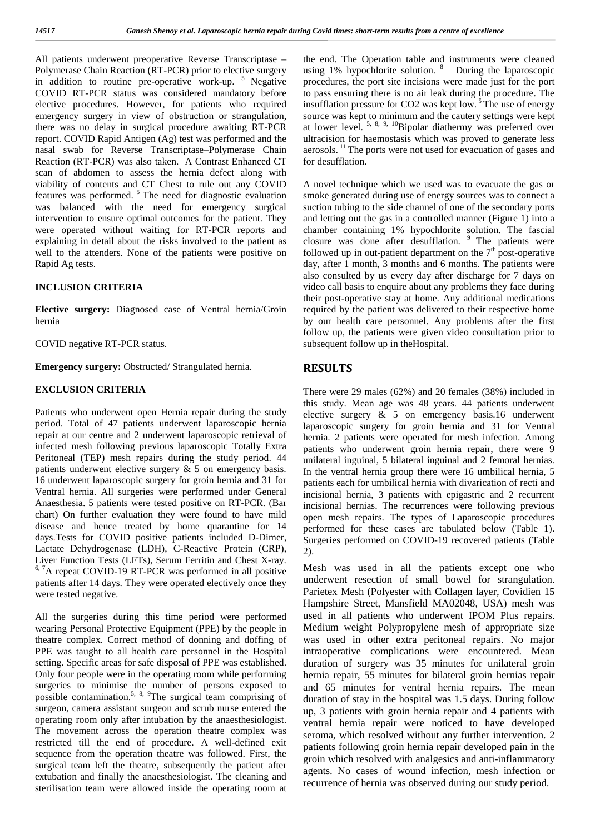All patients underwent preoperative Reverse Transcriptase – Polymerase Chain Reaction (RT-PCR) prior to elective surgery in addition to routine pre-operative work-up.  $5$  Negative COVID RT-PCR status was considered mandatory before elective procedures. However, for patients who required emergency surgery in view of obstruction or strangulation, there was no delay in surgical procedure awaiting RT-PCR report. COVID Rapid Antigen (Ag) test was performed and the nasal swab for Reverse Transcriptase–Polymerase Chain Reaction (RT-PCR) was also taken. A Contrast Enhanced CT scan of abdomen to assess the hernia defect along with viability of contents and CT Chest to rule out any COVID features was performed. <sup>5</sup> The need for diagnostic evaluation was balanced with the need for emergency surgical intervention to ensure optimal outcomes for the patient. They were operated without waiting for RT-PCR reports and explaining in detail about the risks involved to the patient as well to the attenders. None of the patients were positive on Rapid Ag tests.

## **INCLUSION CRITERIA**

**Elective surgery:** Diagnosed case of Ventral hernia/Groin hernia

COVID negative RT-PCR status.

**Emergency surgery:** Obstructed/ Strangulated hernia.

## **EXCLUSION CRITERIA**

Patients who underwent open Hernia repair during the study period. Total of 47 patients underwent laparoscopic hernia repair at our centre and 2 underwent laparoscopic retrieval of infected mesh following previous laparoscopic Totally Extra Peritoneal (TEP) mesh repairs during the study period. 44 patients underwent elective surgery & 5 on emergency basis. 16 underwent laparoscopic surgery for groin hernia and 31 for Ventral hernia. All surgeries were performed under General Anaesthesia. 5 patients were tested positive on RT-PCR. (Bar chart) On further evaluation they were found to have mild disease and hence treated by home quarantine for 14 days.Tests for COVID positive patients included D-Dimer, Lactate Dehydrogenase (LDH), C-Reactive Protein (CRP), Liver Function Tests (LFTs), Serum Ferritin and Chest X-ray. <sup>6, 7</sup>A repeat COVID-19 RT-PCR was performed in all positive patients after 14 days. They were operated electively once they were tested negative.

All the surgeries during this time period were performed wearing Personal Protective Equipment (PPE) by the people in theatre complex. Correct method of donning and doffing of PPE was taught to all health care personnel in the Hospital setting. Specific areas for safe disposal of PPE was established. Only four people were in the operating room while performing surgeries to minimise the number of persons exposed to possible contamination.<sup>5, 8, 9</sup>The surgical team comprising of surgeon, camera assistant surgeon and scrub nurse entered the operating room only after intubation by the anaesthesiologist. The movement across the operation theatre complex was restricted till the end of procedure. A well-defined exit sequence from the operation theatre was followed. First, the surgical team left the theatre, subsequently the patient after extubation and finally the anaesthesiologist. The cleaning and sterilisation team were allowed inside the operating room at the end. The Operation table and instruments were cleaned using 1% hypochlorite solution. <sup>8</sup> During the laparoscopic procedures, the port site incisions were made just for the port to pass ensuring there is no air leak during the procedure. The insufflation pressure for  $CO2$  was kept low.<sup>5</sup> The use of energy source was kept to minimum and the cautery settings were kept at lower level.  $5, 8, 9, 10$ Bipolar diathermy was preferred over ultracision for haemostasis which was proved to generate less aerosols. <sup>11</sup> The ports were not used for evacuation of gases and for desufflation.

A novel technique which we used was to evacuate the gas or smoke generated during use of energy sources was to connect a suction tubing to the side channel of one of the secondary ports and letting out the gas in a controlled manner (Figure 1) into a chamber containing 1% hypochlorite solution. The fascial closure was done after desufflation. <sup>9</sup> The patients were followed up in out-patient department on the  $7<sup>th</sup>$  post-operative day, after 1 month, 3 months and 6 months. The patients were also consulted by us every day after discharge for 7 days on video call basis to enquire about any problems they face during their post-operative stay at home. Any additional medications required by the patient was delivered to their respective home by our health care personnel. Any problems after the first follow up, the patients were given video consultation prior to subsequent follow up in theHospital.

# **RESULTS**

There were 29 males (62%) and 20 females (38%) included in this study. Mean age was 48 years. 44 patients underwent elective surgery & 5 on emergency basis.16 underwent laparoscopic surgery for groin hernia and 31 for Ventral hernia. 2 patients were operated for mesh infection. Among patients who underwent groin hernia repair, there were 9 unilateral inguinal, 5 bilateral inguinal and 2 femoral hernias. In the ventral hernia group there were 16 umbilical hernia, 5 patients each for umbilical hernia with divarication of recti and incisional hernia, 3 patients with epigastric and 2 recurrent incisional hernias. The recurrences were following previous open mesh repairs. The types of Laparoscopic procedures performed for these cases are tabulated below (Table 1). Surgeries performed on COVID-19 recovered patients (Table 2).

Mesh was used in all the patients except one who underwent resection of small bowel for strangulation. Parietex Mesh (Polyester with Collagen layer, Covidien 15 Hampshire Street, Mansfield MA02048, USA) mesh was used in all patients who underwent IPOM Plus repairs. Medium weight Polypropylene mesh of appropriate size was used in other extra peritoneal repairs. No major intraoperative complications were encountered. Mean duration of surgery was 35 minutes for unilateral groin hernia repair, 55 minutes for bilateral groin hernias repair and 65 minutes for ventral hernia repairs. The mean duration of stay in the hospital was 1.5 days. During follow up, 3 patients with groin hernia repair and 4 patients with ventral hernia repair were noticed to have developed seroma, which resolved without any further intervention. 2 patients following groin hernia repair developed pain in the groin which resolved with analgesics and anti-inflammatory agents. No cases of wound infection, mesh infection or recurrence of hernia was observed during our study period.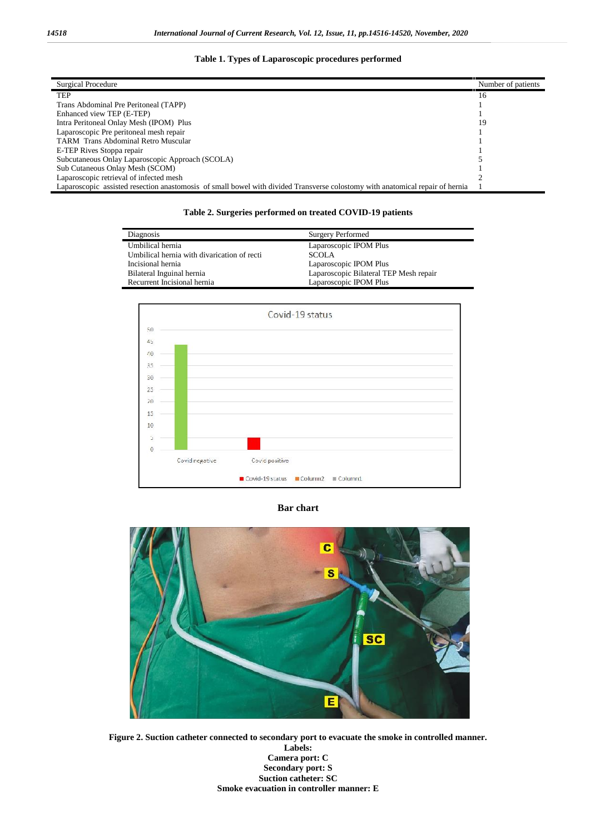## **Table 1. Types of Laparoscopic procedures performed**

| Surgical Procedure                                                                                                            | Number of patients |
|-------------------------------------------------------------------------------------------------------------------------------|--------------------|
| <b>TEP</b>                                                                                                                    | 16                 |
| Trans Abdominal Pre Peritoneal (TAPP)                                                                                         |                    |
| Enhanced view TEP (E-TEP)                                                                                                     |                    |
| Intra Peritoneal Onlay Mesh (IPOM) Plus                                                                                       | 19                 |
| Laparoscopic Pre peritoneal mesh repair                                                                                       |                    |
| <b>TARM</b> Trans Abdominal Retro Muscular                                                                                    |                    |
| E-TEP Rives Stoppa repair                                                                                                     |                    |
| Subcutaneous Onlay Laparoscopic Approach (SCOLA)                                                                              |                    |
| Sub Cutaneous Onlay Mesh (SCOM)                                                                                               |                    |
| Laparoscopic retrieval of infected mesh                                                                                       |                    |
| Laparoscopic assisted resection anastomosis of small bowel with divided Transverse colostomy with anatomical repair of hernia |                    |

### **Table 2. Surgeries performed on treated COVID-19 patients**

| Diagnosis                                   | <b>Surgery Performed</b>               |
|---------------------------------------------|----------------------------------------|
| Umbilical hernia                            | Laparoscopic IPOM Plus                 |
| Umbilical hernia with divarication of recti | <b>SCOLA</b>                           |
| Incisional hernia                           | Laparoscopic IPOM Plus                 |
| Bilateral Inguinal hernia                   | Laparoscopic Bilateral TEP Mesh repair |
| Recurrent Incisional hernia                 | Laparoscopic IPOM Plus                 |



### **Bar chart**



**Figure 2. Suction catheter connected to secondary port to evacuate the smoke in controlled manner.**

**Labels: Camera port: C Secondary port: S Suction catheter: SC Smoke evacuation in controller manner: E**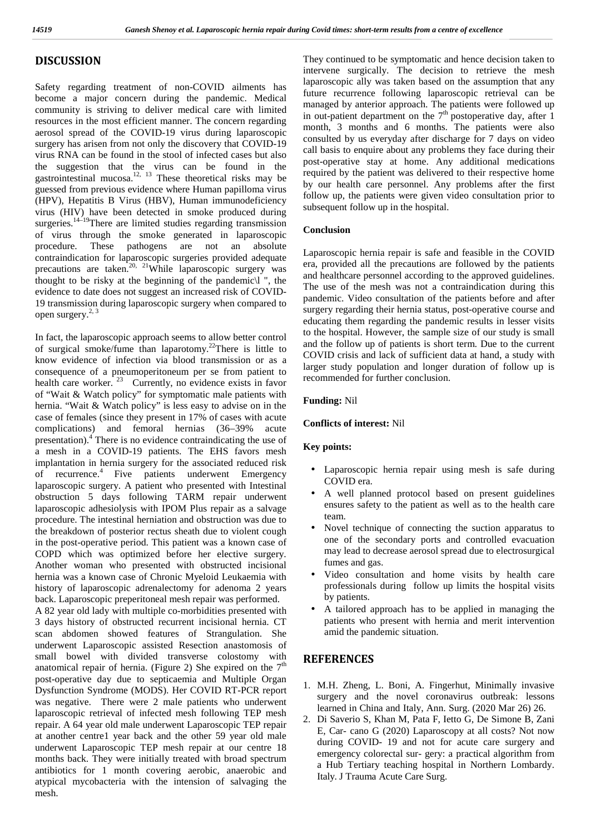## **DISCUSSION**

Safety regarding treatment of non-COVID ailments has become a major concern during the pandemic. Medical community is striving to deliver medical care with limited resources in the most efficient manner. The concern regarding aerosol spread of the COVID-19 virus during laparoscopic surgery has arisen from not only the discovery that COVID-19 virus RNA can be found in the stool of infected cases but also the suggestion that the virus can be found in the  $\frac{pos}{pos}$ gastrointestinal mucosa.<sup>12, 13</sup> These theoretical risks may be guessed from previous evidence where Human papilloma virus (HPV), Hepatitis B Virus (HBV), Human immunodeficiency virus (HIV) have been detected in smoke produced during surgeries.<sup>14–19</sup>There are limited studies regarding transmission of virus through the smoke generated in laparoscopic procedure. These pathogens are not an absolute contraindication for laparoscopic surgeries provided adequate precautions are taken.<sup>20, 21</sup>While laparoscopic surgery was thought to be risky at the beginning of the pandemic\l ", the evidence to date does not suggest an increased risk of COVID- 19 transmission during laparoscopic surgery when compared to open surgery. $^{2, 3}$ 

In fact, the laparoscopic approach seems to allow better control of surgical smoke/fume than laparotomy.<sup>22</sup>There is little to know evidence of infection via blood transmission or as a consequence of a pneumoperitoneum per se from patient to health care worker.  $23$  Currently, no evidence exists in favor of "Wait & Watch policy" for symptomatic male patients with hernia. "Wait & Watch policy" is less easy to advise on in the case of females (since they present in 17% of cases with acute complications) and femoral hernias (36–39% acute presentation).<sup>4</sup> There is no evidence contraindicating the use of a mesh in a COVID-19 patients. The EHS favors mesh implantation in hernia surgery for the associated reduced risk of recurrence.<sup>4</sup> Five patients underwent Emergency laparoscopic surgery. A patient who presented with Intestinal obstruction 5 days following TARM repair underwent laparoscopic adhesiolysis with IPOM Plus repair as a salvage procedure. The intestinal herniation and obstruction was due to the breakdown of posterior rectus sheath due to violent cough in the post-operative period. This patient was a known case of COPD which was optimized before her elective surgery. Another woman who presented with obstructed incisional hernia was a known case of Chronic Myeloid Leukaemia with  $\frac{1}{2}$ history of laparoscopic adrenalectomy for adenoma 2 years back. Laparoscopic preperitoneal mesh repair was performed. A 82 year old lady with multiple co-morbidities presented with 3 days history of obstructed recurrent incisional hernia. CT scan abdomen showed features of Strangulation. She underwent Laparoscopic assisted Resection anastomosis of small bowel with divided transverse colostomy with anatomical repair of hernia. (Figure 2) She expired on the  $7<sup>th</sup>$ post-operative day due to septicaemia and Multiple Organ Dysfunction Syndrome (MODS). Her COVID RT-PCR report was negative. There were 2 male patients who underwent laparoscopic retrieval of infected mesh following TEP mesh repair. A 64 year old male underwent Laparoscopic TEP repair at another centre1 year back and the other 59 year old male underwent Laparoscopic TEP mesh repair at our centre 18 months back. They were initially treated with broad spectrum antibiotics for 1 month covering aerobic, anaerobic and atypical mycobacteria with the intension of salvaging the mesh.

They continued to be symptomatic and hence decision taken to intervene surgically. The decision to retrieve the mesh laparoscopic ally was taken based on the assumption that any future recurrence following laparoscopic retrieval can be managed by anterior approach. The patients were followed up in out-patient department on the  $7<sup>th</sup>$  postoperative day, after 1 month, 3 months and 6 months. The patients were also consulted by us everyday after discharge for 7 days on video call basis to enquire about any problems they face during their post-operative stay at home. Any additional medications required by the patient was delivered to their respective home by our health care personnel. Any problems after the first follow up, the patients were given video consultation prior to subsequent follow up in the hospital.

### **Conclusion**

Laparoscopic hernia repair is safe and feasible in the COVID era, provided all the precautions are followed by the patients and healthcare personnel according to the approved guidelines. The use of the mesh was not a contraindication during this pandemic. Video consultation of the patients before and after surgery regarding their hernia status, post-operative course and educating them regarding the pandemic results in lesser visits to the hospital. However, the sample size of our study is small and the follow up of patients is short term. Due to the current COVID crisis and lack of sufficient data at hand, a study with larger study population and longer duration of follow up is recommended for further conclusion.

### **Funding:** Nil

#### **Conflicts of interest:** Nil

#### **Key points:**

- Laparoscopic hernia repair using mesh is safe during COVID era.
- A well planned protocol based on present guidelines ensures safety to the patient as well as to the health care team.
- Novel technique of connecting the suction apparatus to one of the secondary ports and controlled evacuation may lead to decrease aerosol spread due to electrosurgical fumes and gas.
- Video consultation and home visits by health care professionals during follow up limits the hospital visits by patients.
- A tailored approach has to be applied in managing the patients who present with hernia and merit intervention amid the pandemic situation.

## **REFERENCES**

- 1. M.H. Zheng, L. Boni, A. Fingerhut, Minimally invasive surgery and the novel coronavirus outbreak: lessons learned in China and Italy, Ann. Surg. (2020 Mar 26) 26.
- 2. Di Saverio S, Khan M, Pata F, Ietto G, De Simone B, Zani E, Car- cano G (2020) Laparoscopy at all costs? Not now during COVID- 19 and not for acute care surgery and emergency colorectal sur- gery: a practical algorithm from a Hub Tertiary teaching hospital in Northern Lombardy. Italy. J Trauma Acute Care Surg.